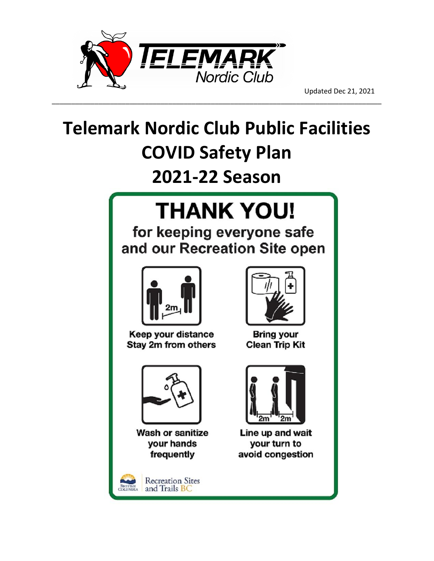

# **Telemark Nordic Club Public Facilities COVID Safety Plan**

\_\_\_\_\_\_\_\_\_\_\_\_\_\_\_\_\_\_\_\_\_\_\_\_\_\_\_\_\_\_\_\_\_\_\_\_\_\_\_\_\_\_\_\_\_\_\_\_\_\_\_\_\_\_\_\_\_\_\_\_\_\_\_\_\_\_\_\_\_\_\_\_\_\_\_\_\_\_\_\_\_\_\_\_\_

# **2021-22 Season**

# **THANK YOU!**

for keeping everyone safe and our Recreation Site open



Keep your distance Stay 2m from others



Wash or sanitize your hands frequently



Bring your **Clean Trip Kit** 



Line up and wait your turn to avoid congestion

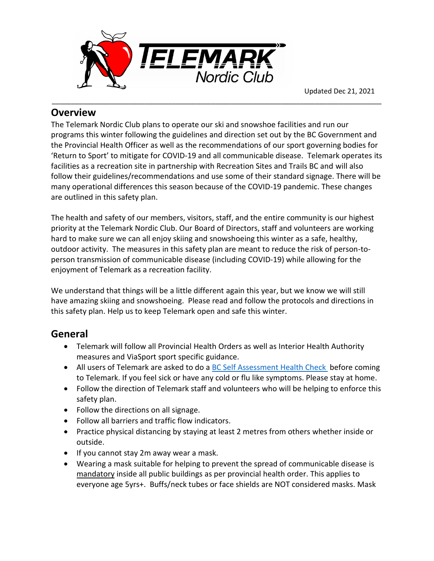

#### **Overview**

The Telemark Nordic Club plans to operate our ski and snowshoe facilities and run our programs this winter following the guidelines and direction set out by the BC Government and the Provincial Health Officer as well as the recommendations of our sport governing bodies for 'Return to Sport' to mitigate for COVID-19 and all communicable disease. Telemark operates its facilities as a recreation site in partnership with Recreation Sites and Trails BC and will also follow their guidelines/recommendations and use some of their standard signage. There will be many operational differences this season because of the COVID-19 pandemic. These changes are outlined in this safety plan.

\_\_\_\_\_\_\_\_\_\_\_\_\_\_\_\_\_\_\_\_\_\_\_\_\_\_\_\_\_\_\_\_\_\_\_\_\_\_\_\_\_\_\_\_\_\_\_\_\_\_\_\_\_\_\_\_\_\_\_\_\_\_\_\_\_\_\_\_\_\_\_\_\_\_\_\_\_\_\_\_\_\_\_\_\_

The health and safety of our members, visitors, staff, and the entire community is our highest priority at the Telemark Nordic Club. Our Board of Directors, staff and volunteers are working hard to make sure we can all enjoy skiing and snowshoeing this winter as a safe, healthy, outdoor activity. The measures in this safety plan are meant to reduce the risk of person-toperson transmission of communicable disease (including COVID-19) while allowing for the enjoyment of Telemark as a recreation facility.

We understand that things will be a little different again this year, but we know we will still have amazing skiing and snowshoeing. Please read and follow the protocols and directions in this safety plan. Help us to keep Telemark open and safe this winter.

# **General**

- Telemark will follow all Provincial Health Orders as well as Interior Health Authority measures and ViaSport sport specific guidance.
- All users of Telemark are asked to do a [BC Self Assessment Health Check](https://bc.thrive.health/covid19/en) before coming to Telemark. If you feel sick or have any cold or flu like symptoms. Please stay at home.
- Follow the direction of Telemark staff and volunteers who will be helping to enforce this safety plan.
- Follow the directions on all signage.
- Follow all barriers and traffic flow indicators.
- Practice physical distancing by staying at least 2 metres from others whether inside or outside.
- If you cannot stay 2m away wear a mask.
- Wearing a mask suitable for helping to prevent the spread of communicable disease is mandatory inside all public buildings as per provincial health order. This applies to everyone age 5yrs+. Buffs/neck tubes or face shields are NOT considered masks. Mask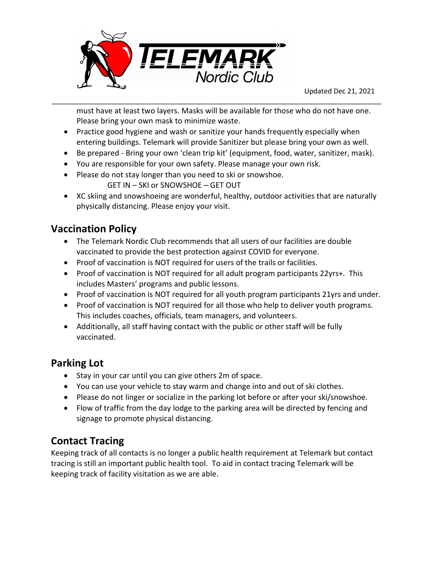

must have at least two layers. Masks will be available for those who do not have one. Please bring your own mask to minimize waste.

• Practice good hygiene and wash or sanitize your hands frequently especially when entering buildings. Telemark will provide Sanitizer but please bring your own as well.

\_\_\_\_\_\_\_\_\_\_\_\_\_\_\_\_\_\_\_\_\_\_\_\_\_\_\_\_\_\_\_\_\_\_\_\_\_\_\_\_\_\_\_\_\_\_\_\_\_\_\_\_\_\_\_\_\_\_\_\_\_\_\_\_\_\_\_\_\_\_\_\_\_\_\_\_\_\_\_\_\_\_\_\_\_

- Be prepared Bring your own 'clean trip kit' (equipment, food, water, sanitizer, mask).
- You are responsible for your own safety. Please manage your own risk.
- Please do not stay longer than you need to ski or snowshoe.
	- GET IN SKI or SNOWSHOE GET OUT
- XC skiing and snowshoeing are wonderful, healthy, outdoor activities that are naturally physically distancing. Please enjoy your visit.

#### **Vaccination Policy**

- The Telemark Nordic Club recommends that all users of our facilities are double vaccinated to provide the best protection against COVID for everyone.
- Proof of vaccination is NOT required for users of the trails or facilities.
- Proof of vaccination is NOT required for all adult program participants 22yrs+. This includes Masters' programs and public lessons.
- Proof of vaccination is NOT required for all youth program participants 21yrs and under.
- Proof of vaccination is NOT required for all those who help to deliver youth programs. This includes coaches, officials, team managers, and volunteers.
- Additionally, all staff having contact with the public or other staff will be fully vaccinated.

#### **Parking Lot**

- Stay in your car until you can give others 2m of space.
- You can use your vehicle to stay warm and change into and out of ski clothes.
- Please do not linger or socialize in the parking lot before or after your ski/snowshoe.
- Flow of traffic from the day lodge to the parking area will be directed by fencing and signage to promote physical distancing.

#### **Contact Tracing**

Keeping track of all contacts is no longer a public health requirement at Telemark but contact tracing is still an important public health tool. To aid in contact tracing Telemark will be keeping track of facility visitation as we are able.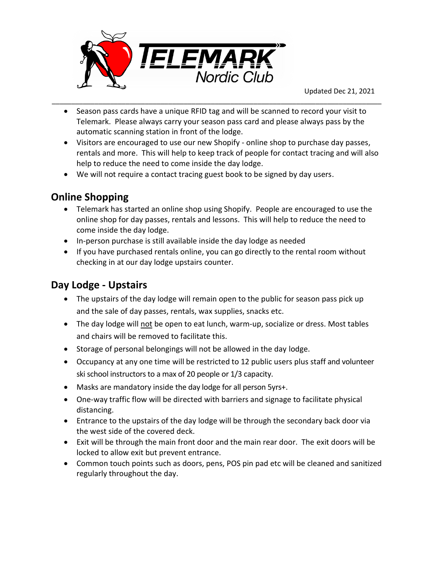

• Season pass cards have a unique RFID tag and will be scanned to record your visit to Telemark. Please always carry your season pass card and please always pass by the automatic scanning station in front of the lodge.

\_\_\_\_\_\_\_\_\_\_\_\_\_\_\_\_\_\_\_\_\_\_\_\_\_\_\_\_\_\_\_\_\_\_\_\_\_\_\_\_\_\_\_\_\_\_\_\_\_\_\_\_\_\_\_\_\_\_\_\_\_\_\_\_\_\_\_\_\_\_\_\_\_\_\_\_\_\_\_\_\_\_\_\_\_

- Visitors are encouraged to use our new Shopify online shop to purchase day passes, rentals and more. This will help to keep track of people for contact tracing and will also help to reduce the need to come inside the day lodge.
- We will not require a contact tracing guest book to be signed by day users.

# **Online Shopping**

- Telemark has started an online shop using Shopify. People are encouraged to use the online shop for day passes, rentals and lessons. This will help to reduce the need to come inside the day lodge.
- In-person purchase is still available inside the day lodge as needed
- If you have purchased rentals online, you can go directly to the rental room without checking in at our day lodge upstairs counter.

# **Day Lodge - Upstairs**

- The upstairs of the day lodge will remain open to the public for season pass pick up and the sale of day passes, rentals, wax supplies, snacks etc.
- The day lodge will not be open to eat lunch, warm-up, socialize or dress. Most tables and chairs will be removed to facilitate this.
- Storage of personal belongings will not be allowed in the day lodge.
- Occupancy at any one time will be restricted to 12 public users plus staff and volunteer ski school instructors to a max of 20 people or 1/3 capacity.
- Masks are mandatory inside the day lodge for all person 5yrs+.
- One-way traffic flow will be directed with barriers and signage to facilitate physical distancing.
- Entrance to the upstairs of the day lodge will be through the secondary back door via the west side of the covered deck.
- Exit will be through the main front door and the main rear door. The exit doors will be locked to allow exit but prevent entrance.
- Common touch points such as doors, pens, POS pin pad etc will be cleaned and sanitized regularly throughout the day.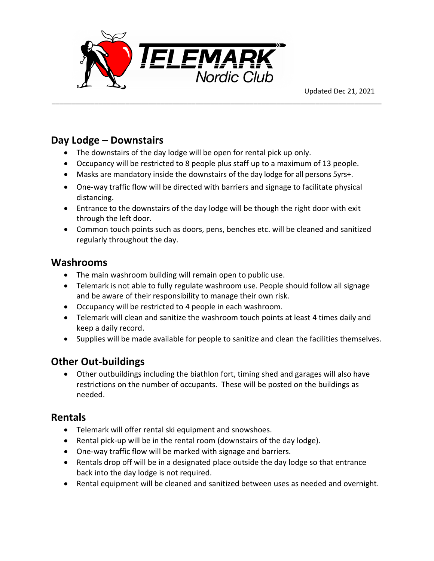

#### **Day Lodge – Downstairs**

- The downstairs of the day lodge will be open for rental pick up only.
- Occupancy will be restricted to 8 people plus staff up to a maximum of 13 people.

\_\_\_\_\_\_\_\_\_\_\_\_\_\_\_\_\_\_\_\_\_\_\_\_\_\_\_\_\_\_\_\_\_\_\_\_\_\_\_\_\_\_\_\_\_\_\_\_\_\_\_\_\_\_\_\_\_\_\_\_\_\_\_\_\_\_\_\_\_\_\_\_\_\_\_\_\_\_\_\_\_\_\_\_\_

- Masks are mandatory inside the downstairs of the day lodge for all persons 5yrs+.
- One-way traffic flow will be directed with barriers and signage to facilitate physical distancing.
- Entrance to the downstairs of the day lodge will be though the right door with exit through the left door.
- Common touch points such as doors, pens, benches etc. will be cleaned and sanitized regularly throughout the day.

#### **Washrooms**

- The main washroom building will remain open to public use.
- Telemark is not able to fully regulate washroom use. People should follow all signage and be aware of their responsibility to manage their own risk.
- Occupancy will be restricted to 4 people in each washroom.
- Telemark will clean and sanitize the washroom touch points at least 4 times daily and keep a daily record.
- Supplies will be made available for people to sanitize and clean the facilities themselves.

#### **Other Out-buildings**

• Other outbuildings including the biathlon fort, timing shed and garages will also have restrictions on the number of occupants. These will be posted on the buildings as needed.

#### **Rentals**

- Telemark will offer rental ski equipment and snowshoes.
- Rental pick-up will be in the rental room (downstairs of the day lodge).
- One-way traffic flow will be marked with signage and barriers.
- Rentals drop off will be in a designated place outside the day lodge so that entrance back into the day lodge is not required.
- Rental equipment will be cleaned and sanitized between uses as needed and overnight.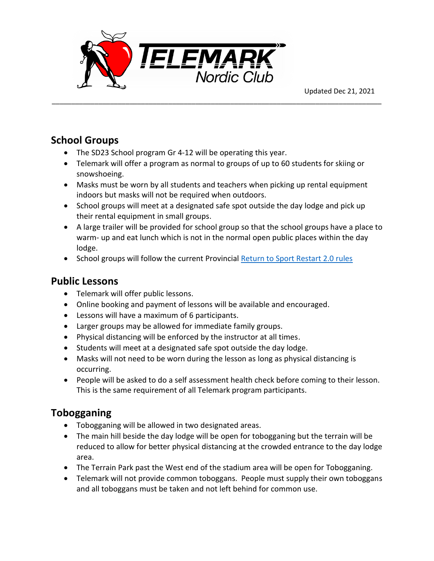

# **School Groups**

- The SD23 School program Gr 4-12 will be operating this year.
- Telemark will offer a program as normal to groups of up to 60 students for skiing or snowshoeing.

\_\_\_\_\_\_\_\_\_\_\_\_\_\_\_\_\_\_\_\_\_\_\_\_\_\_\_\_\_\_\_\_\_\_\_\_\_\_\_\_\_\_\_\_\_\_\_\_\_\_\_\_\_\_\_\_\_\_\_\_\_\_\_\_\_\_\_\_\_\_\_\_\_\_\_\_\_\_\_\_\_\_\_\_\_

- Masks must be worn by all students and teachers when picking up rental equipment indoors but masks will not be required when outdoors.
- School groups will meet at a designated safe spot outside the day lodge and pick up their rental equipment in small groups.
- A large trailer will be provided for school group so that the school groups have a place to warm- up and eat lunch which is not in the normal open public places within the day lodge.
- School groups will follow the current Provincial [Return to Sport Restart 2.0 rules](extension://elhekieabhbkpmcefcoobjddigjcaadp/viewer.html?pdfurl=https%3A%2F%2Fwww.viasport.ca%2Fsites%2Fdefault%2Ffiles%2FReturn_to_Sport_Restart_2.0_December_10-21.pdf&clen=119746&chunk=true)

#### **Public Lessons**

- Telemark will offer public lessons.
- Online booking and payment of lessons will be available and encouraged.
- Lessons will have a maximum of 6 participants.
- Larger groups may be allowed for immediate family groups.
- Physical distancing will be enforced by the instructor at all times.
- Students will meet at a designated safe spot outside the day lodge.
- Masks will not need to be worn during the lesson as long as physical distancing is occurring.
- People will be asked to do a self assessment health check before coming to their lesson. This is the same requirement of all Telemark program participants.

# **Tobogganing**

- Tobogganing will be allowed in two designated areas.
- The main hill beside the day lodge will be open for tobogganing but the terrain will be reduced to allow for better physical distancing at the crowded entrance to the day lodge area.
- The Terrain Park past the West end of the stadium area will be open for Tobogganing.
- Telemark will not provide common toboggans. People must supply their own toboggans and all toboggans must be taken and not left behind for common use.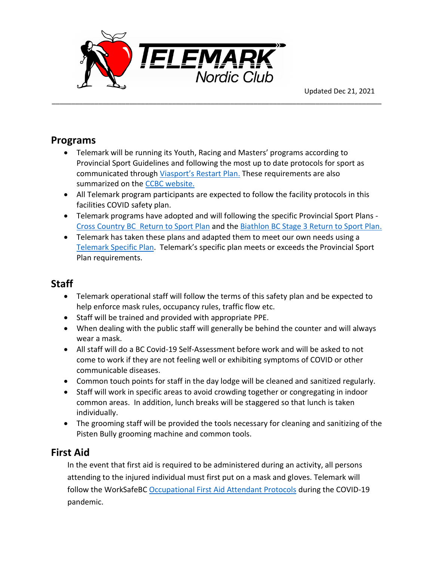

#### **Programs**

• Telemark will be running its Youth, Racing and Masters' programs according to Provincial Sport Guidelines and following the most up to date protocols for sport as communicated through [Viasport's Restart](https://www.viasport.ca/return-sport) Plan. These requirements are also summarized on the [CCBC website.](https://www.crosscountrybc.ca/covid-19)

\_\_\_\_\_\_\_\_\_\_\_\_\_\_\_\_\_\_\_\_\_\_\_\_\_\_\_\_\_\_\_\_\_\_\_\_\_\_\_\_\_\_\_\_\_\_\_\_\_\_\_\_\_\_\_\_\_\_\_\_\_\_\_\_\_\_\_\_\_\_\_\_\_\_\_\_\_\_\_\_\_\_\_\_\_

- All Telemark program participants are expected to follow the facility protocols in this facilities COVID safety plan.
- Telemark programs have adopted and will following the specific Provincial Sport Plans Cross Country BC [Return to Sport](https://www.crosscountrybc.ca/sites/default/files/documents/2021Sept14ReturnToSportCOVID-19SafetyPlan-CrossCountryBC.pdf) Plan and the [Biathlon BC Stage 3 Return to Sport Plan.](http://biathlonbc.ca/safe-sport/covid-19-resources/)
- Telemark has taken these plans and adapted them to meet our own needs using a [Telemark Specific Plan.](https://race.teamtelemark.ca/return-to-sport-summer-plan/) Telemark's specific plan meets or exceeds the Provincial Sport Plan requirements.

# **Staff**

- Telemark operational staff will follow the terms of this safety plan and be expected to help enforce mask rules, occupancy rules, traffic flow etc.
- Staff will be trained and provided with appropriate PPE.
- When dealing with the public staff will generally be behind the counter and will always wear a mask.
- All staff will do a BC Covid-19 Self-Assessment before work and will be asked to not come to work if they are not feeling well or exhibiting symptoms of COVID or other communicable diseases.
- Common touch points for staff in the day lodge will be cleaned and sanitized regularly.
- Staff will work in specific areas to avoid crowding together or congregating in indoor common areas. In addition, lunch breaks will be staggered so that lunch is taken individually.
- The grooming staff will be provided the tools necessary for cleaning and sanitizing of the Pisten Bully grooming machine and common tools.

# **First Aid**

In the event that first aid is required to be administered during an activity, all persons attending to the injured individual must first put on a mask and gloves. Telemark will follow the WorkSafeBC [Occupational First Aid Attendant Protocols](file:///C:/Users/mandn/Downloads/ofaa-protocols-covid-19-pdf-en.pdf) during the COVID-19 pandemic.